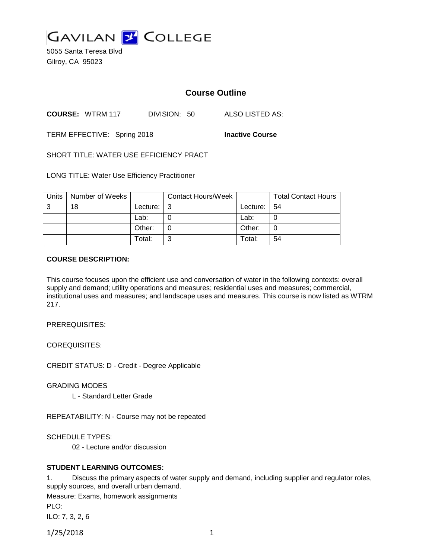

5055 Santa Teresa Blvd Gilroy, CA 95023

# **Course Outline**

**COURSE:** WTRM 117 DIVISION: 50 ALSO LISTED AS:

TERM EFFECTIVE: Spring 2018 **Inactive Course**

SHORT TITLE: WATER USE EFFICIENCY PRACT

LONG TITLE: Water Use Efficiency Practitioner

| Units | Number of Weeks |          | <b>Contact Hours/Week</b> |          | <b>Total Contact Hours</b> |
|-------|-----------------|----------|---------------------------|----------|----------------------------|
| 3     | 18              | Lecture: |                           | Lecture: | -54                        |
|       |                 | Lab:     |                           | Lab:     |                            |
|       |                 | Other:   |                           | Other:   |                            |
|       |                 | Total:   |                           | Total:   | 54                         |

#### **COURSE DESCRIPTION:**

This course focuses upon the efficient use and conversation of water in the following contexts: overall supply and demand; utility operations and measures; residential uses and measures; commercial, institutional uses and measures; and landscape uses and measures. This course is now listed as WTRM 217.

PREREQUISITES:

COREQUISITES:

CREDIT STATUS: D - Credit - Degree Applicable

GRADING MODES

L - Standard Letter Grade

REPEATABILITY: N - Course may not be repeated

SCHEDULE TYPES:

02 - Lecture and/or discussion

### **STUDENT LEARNING OUTCOMES:**

1. Discuss the primary aspects of water supply and demand, including supplier and regulator roles, supply sources, and overall urban demand.

Measure: Exams, homework assignments PLO:

ILO: 7, 3, 2, 6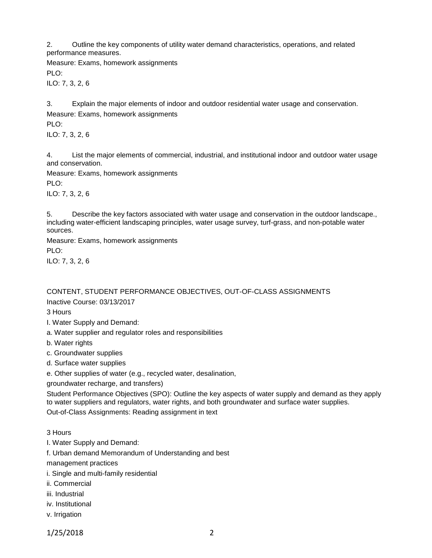2. Outline the key components of utility water demand characteristics, operations, and related performance measures.

Measure: Exams, homework assignments PLO:

ILO: 7, 3, 2, 6

3. Explain the major elements of indoor and outdoor residential water usage and conservation.

Measure: Exams, homework assignments PLO:

ILO: 7, 3, 2, 6

4. List the major elements of commercial, industrial, and institutional indoor and outdoor water usage and conservation.

Measure: Exams, homework assignments

PLO:

ILO: 7, 3, 2, 6

5. Describe the key factors associated with water usage and conservation in the outdoor landscape., including water-efficient landscaping principles, water usage survey, turf-grass, and non-potable water sources.

Measure: Exams, homework assignments PLO: ILO: 7, 3, 2, 6

CONTENT, STUDENT PERFORMANCE OBJECTIVES, OUT-OF-CLASS ASSIGNMENTS Inactive Course: 03/13/2017

3 Hours

- I. Water Supply and Demand:
- a. Water supplier and regulator roles and responsibilities
- b. Water rights
- c. Groundwater supplies
- d. Surface water supplies
- e. Other supplies of water (e.g., recycled water, desalination,

groundwater recharge, and transfers)

Student Performance Objectives (SPO): Outline the key aspects of water supply and demand as they apply to water suppliers and regulators, water rights, and both groundwater and surface water supplies.

Out-of-Class Assignments: Reading assignment in text

3 Hours

I. Water Supply and Demand:

f. Urban demand Memorandum of Understanding and best

management practices

- i. Single and multi-family residential
- ii. Commercial
- iii. Industrial
- iv. Institutional
- v. Irrigation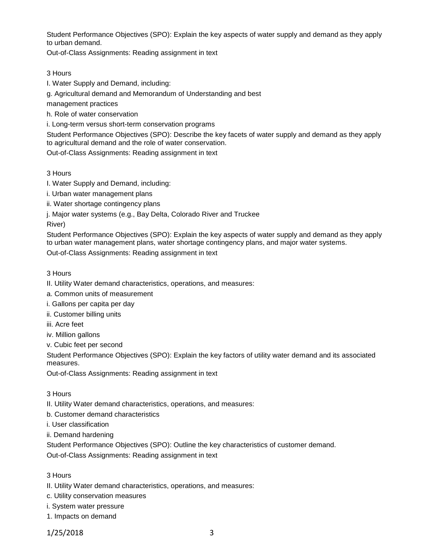Student Performance Objectives (SPO): Explain the key aspects of water supply and demand as they apply to urban demand.

Out-of-Class Assignments: Reading assignment in text

### 3 Hours

I. Water Supply and Demand, including:

g. Agricultural demand and Memorandum of Understanding and best

management practices

h. Role of water conservation

i. Long-term versus short-term conservation programs

Student Performance Objectives (SPO): Describe the key facets of water supply and demand as they apply to agricultural demand and the role of water conservation.

Out-of-Class Assignments: Reading assignment in text

### 3 Hours

I. Water Supply and Demand, including:

i. Urban water management plans

ii. Water shortage contingency plans

j. Major water systems (e.g., Bay Delta, Colorado River and Truckee

River)

Student Performance Objectives (SPO): Explain the key aspects of water supply and demand as they apply to urban water management plans, water shortage contingency plans, and major water systems. Out-of-Class Assignments: Reading assignment in text

### 3 Hours

II. Utility Water demand characteristics, operations, and measures:

a. Common units of measurement

i. Gallons per capita per day

ii. Customer billing units

iii. Acre feet

iv. Million gallons

v. Cubic feet per second

Student Performance Objectives (SPO): Explain the key factors of utility water demand and its associated measures.

Out-of-Class Assignments: Reading assignment in text

3 Hours

II. Utility Water demand characteristics, operations, and measures:

b. Customer demand characteristics

i. User classification

ii. Demand hardening

Student Performance Objectives (SPO): Outline the key characteristics of customer demand.

Out-of-Class Assignments: Reading assignment in text

3 Hours

II. Utility Water demand characteristics, operations, and measures:

c. Utility conservation measures

i. System water pressure

1. Impacts on demand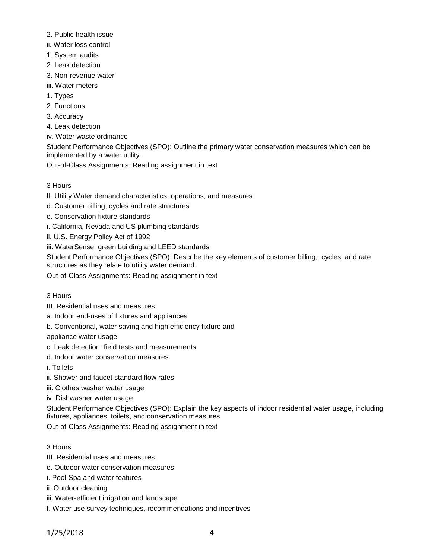- 2. Public health issue
- ii. Water loss control
- 1. System audits
- 2. Leak detection
- 3. Non-revenue water
- iii. Water meters
- 1. Types
- 2. Functions
- 3. Accuracy
- 4. Leak detection
- iv. Water waste ordinance

Student Performance Objectives (SPO): Outline the primary water conservation measures which can be implemented by a water utility.

Out-of-Class Assignments: Reading assignment in text

- 3 Hours
- II. Utility Water demand characteristics, operations, and measures:
- d. Customer billing, cycles and rate structures
- e. Conservation fixture standards
- i. California, Nevada and US plumbing standards
- ii. U.S. Energy Policy Act of 1992
- iii. WaterSense, green building and LEED standards

Student Performance Objectives (SPO): Describe the key elements of customer billing, cycles, and rate structures as they relate to utility water demand.

Out-of-Class Assignments: Reading assignment in text

- 3 Hours
- III. Residential uses and measures:
- a. Indoor end-uses of fixtures and appliances
- b. Conventional, water saving and high efficiency fixture and

appliance water usage

- c. Leak detection, field tests and measurements
- d. Indoor water conservation measures

i. Toilets

- ii. Shower and faucet standard flow rates
- iii. Clothes washer water usage
- iv. Dishwasher water usage

Student Performance Objectives (SPO): Explain the key aspects of indoor residential water usage, including fixtures, appliances, toilets, and conservation measures.

Out-of-Class Assignments: Reading assignment in text

## 3 Hours

- III. Residential uses and measures:
- e. Outdoor water conservation measures
- i. Pool-Spa and water features
- ii. Outdoor cleaning
- iii. Water-efficient irrigation and landscape
- f. Water use survey techniques, recommendations and incentives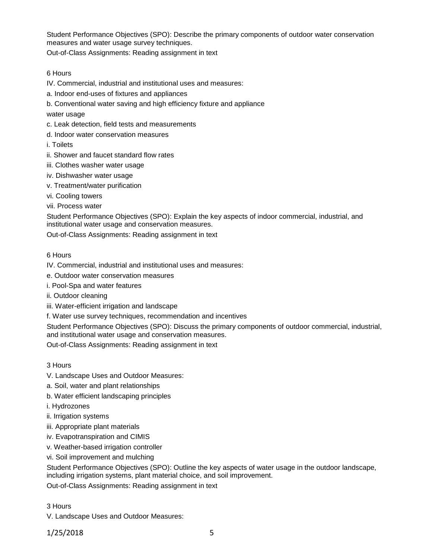Student Performance Objectives (SPO): Describe the primary components of outdoor water conservation measures and water usage survey techniques.

Out-of-Class Assignments: Reading assignment in text

### 6 Hours

- IV. Commercial, industrial and institutional uses and measures:
- a. Indoor end-uses of fixtures and appliances
- b. Conventional water saving and high efficiency fixture and appliance

water usage

- c. Leak detection, field tests and measurements
- d. Indoor water conservation measures

i. Toilets

- ii. Shower and faucet standard flow rates
- iii. Clothes washer water usage
- iv. Dishwasher water usage
- v. Treatment/water purification
- vi. Cooling towers
- vii. Process water

Student Performance Objectives (SPO): Explain the key aspects of indoor commercial, industrial, and institutional water usage and conservation measures.

Out-of-Class Assignments: Reading assignment in text

### 6 Hours

- IV. Commercial, industrial and institutional uses and measures:
- e. Outdoor water conservation measures
- i. Pool-Spa and water features
- ii. Outdoor cleaning
- iii. Water-efficient irrigation and landscape
- f. Water use survey techniques, recommendation and incentives

Student Performance Objectives (SPO): Discuss the primary components of outdoor commercial, industrial, and institutional water usage and conservation measures.

Out-of-Class Assignments: Reading assignment in text

### 3 Hours

- V. Landscape Uses and Outdoor Measures:
- a. Soil, water and plant relationships
- b. Water efficient landscaping principles
- i. Hydrozones
- ii. Irrigation systems
- iii. Appropriate plant materials
- iv. Evapotranspiration and CIMIS
- v. Weather-based irrigation controller
- vi. Soil improvement and mulching

Student Performance Objectives (SPO): Outline the key aspects of water usage in the outdoor landscape, including irrigation systems, plant material choice, and soil improvement.

Out-of-Class Assignments: Reading assignment in text

### 3 Hours

V. Landscape Uses and Outdoor Measures: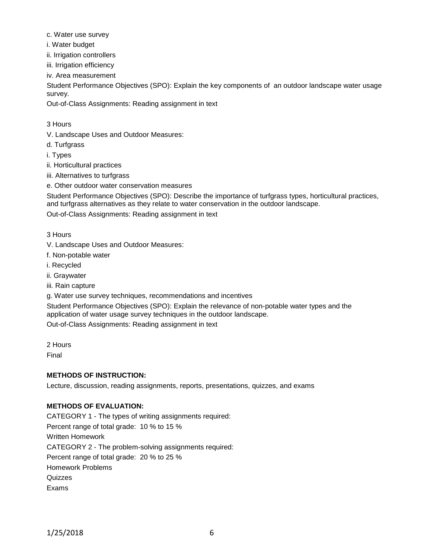- c. Water use survey
- i. Water budget
- ii. Irrigation controllers
- iii. Irrigation efficiency
- iv. Area measurement

Student Performance Objectives (SPO): Explain the key components of an outdoor landscape water usage survey.

Out-of-Class Assignments: Reading assignment in text

### 3 Hours

- V. Landscape Uses and Outdoor Measures:
- d. Turfgrass
- i. Types
- ii. Horticultural practices
- iii. Alternatives to turfgrass
- e. Other outdoor water conservation measures

Student Performance Objectives (SPO): Describe the importance of turfgrass types, horticultural practices, and turfgrass alternatives as they relate to water conservation in the outdoor landscape.

Out-of-Class Assignments: Reading assignment in text

- 3 Hours
- V. Landscape Uses and Outdoor Measures:
- f. Non-potable water
- i. Recycled
- ii. Graywater
- iii. Rain capture
- g. Water use survey techniques, recommendations and incentives

Student Performance Objectives (SPO): Explain the relevance of non-potable water types and the application of water usage survey techniques in the outdoor landscape.

Out-of-Class Assignments: Reading assignment in text

2 Hours

Final

## **METHODS OF INSTRUCTION:**

Lecture, discussion, reading assignments, reports, presentations, quizzes, and exams

## **METHODS OF EVALUATION:**

CATEGORY 1 - The types of writing assignments required: Percent range of total grade: 10 % to 15 % Written Homework CATEGORY 2 - The problem-solving assignments required: Percent range of total grade: 20 % to 25 % Homework Problems **Quizzes** Exams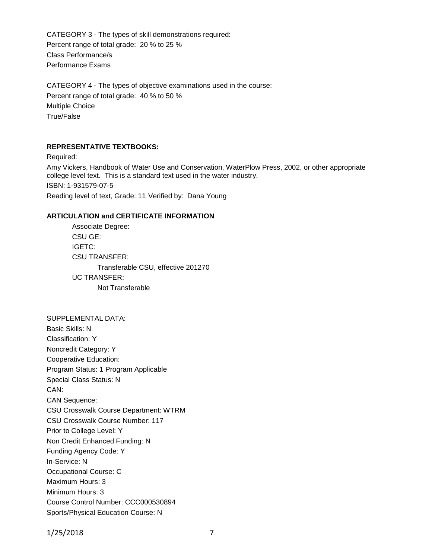CATEGORY 3 - The types of skill demonstrations required: Percent range of total grade: 20 % to 25 % Class Performance/s Performance Exams

CATEGORY 4 - The types of objective examinations used in the course: Percent range of total grade: 40 % to 50 % Multiple Choice True/False

#### **REPRESENTATIVE TEXTBOOKS:**

Required: Amy Vickers, Handbook of Water Use and Conservation, WaterPlow Press, 2002, or other appropriate college level text. This is a standard text used in the water industry. ISBN: 1-931579-07-5 Reading level of text, Grade: 11 Verified by: Dana Young

#### **ARTICULATION and CERTIFICATE INFORMATION**

Associate Degree: CSU GE: IGETC: CSU TRANSFER: Transferable CSU, effective 201270 UC TRANSFER: Not Transferable

SUPPLEMENTAL DATA: Basic Skills: N Classification: Y Noncredit Category: Y Cooperative Education: Program Status: 1 Program Applicable Special Class Status: N CAN: CAN Sequence: CSU Crosswalk Course Department: WTRM CSU Crosswalk Course Number: 117 Prior to College Level: Y Non Credit Enhanced Funding: N Funding Agency Code: Y In-Service: N Occupational Course: C Maximum Hours: 3 Minimum Hours: 3 Course Control Number: CCC000530894 Sports/Physical Education Course: N